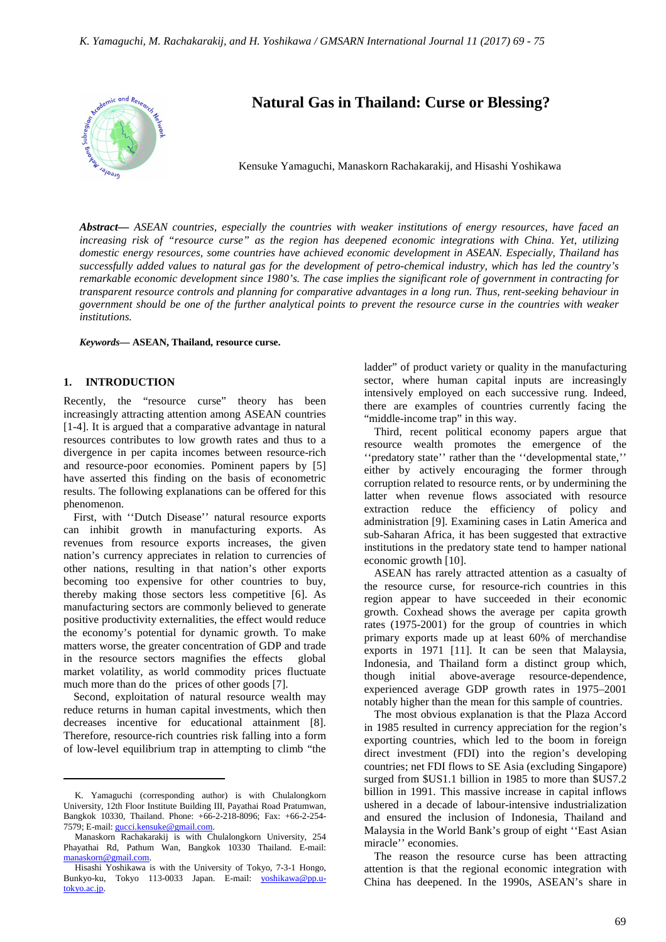

# **Natural Gas in Thailand: Curse or Blessing?**

Kensuke Yamaguchi, Manaskorn Rachakarakij, and Hisashi Yoshikawa

*Abstract***—** *ASEAN countries, especially the countries with weaker institutions of energy resources, have faced an increasing risk of "resource curse" as the region has deepened economic integrations with China. Yet, utilizing domestic energy resources, some countries have achieved economic development in ASEAN. Especially, Thailand has successfully added values to natural gas for the development of petro-chemical industry, which has led the country's remarkable economic development since 1980's. The case implies the significant role of government in contracting for transparent resource controls and planning for comparative advantages in a long run. Thus, rent-seeking behaviour in government should be one of the further analytical points to prevent the resource curse in the countries with weaker institutions.*

*Keywords***— ASEAN, Thailand, resource curse.**

# **1. INTRODUCTION**

 $\overline{a}$ 

Recently, the "resource curse" theory has been increasingly attracting attention among ASEAN countries [1-4]. It is argued that a comparative advantage in natural resources contributes to low growth rates and thus to a divergence in per capita incomes between resource-rich and resource-poor economies. Pominent papers by [5] have asserted this finding on the basis of econometric results. The following explanations can be offered for this phenomenon.

First, with ''Dutch Disease'' natural resource exports can inhibit growth in manufacturing exports. As revenues from resource exports increases, the given nation's currency appreciates in relation to currencies of other nations, resulting in that nation's other exports becoming too expensive for other countries to buy, thereby making those sectors less competitive [6]. As manufacturing sectors are commonly believed to generate positive productivity externalities, the effect would reduce the economy's potential for dynamic growth. To make matters worse, the greater concentration of GDP and trade in the resource sectors magnifies the effects global market volatility, as world commodity prices fluctuate much more than do the prices of other goods [7].

Second, exploitation of natural resource wealth may reduce returns in human capital investments, which then decreases incentive for educational attainment [8]. Therefore, resource-rich countries risk falling into a form of low-level equilibrium trap in attempting to climb "the ladder" of product variety or quality in the manufacturing sector, where human capital inputs are increasingly intensively employed on each successive rung. Indeed, there are examples of countries currently facing the "middle-income trap" in this way.

Third, recent political economy papers argue that resource wealth promotes the emergence of the ''predatory state'' rather than the ''developmental state,'' either by actively encouraging the former through corruption related to resource rents, or by undermining the latter when revenue flows associated with resource extraction reduce the efficiency of policy and administration [9]. Examining cases in Latin America and sub-Saharan Africa, it has been suggested that extractive institutions in the predatory state tend to hamper national economic growth [10].

ASEAN has rarely attracted attention as a casualty of the resource curse, for resource-rich countries in this region appear to have succeeded in their economic growth. Coxhead shows the average per capita growth rates (1975-2001) for the group of countries in which primary exports made up at least 60% of merchandise exports in 1971 [11]. It can be seen that Malaysia, Indonesia, and Thailand form a distinct group which, though initial above-average resource-dependence, experienced average GDP growth rates in 1975–2001 notably higher than the mean for this sample of countries.

The most obvious explanation is that the Plaza Accord in 1985 resulted in currency appreciation for the region's exporting countries, which led to the boom in foreign direct investment (FDI) into the region's developing countries; net FDI flows to SE Asia (excluding Singapore) surged from \$US1.1 billion in 1985 to more than \$US7.2 billion in 1991. This massive increase in capital inflows ushered in a decade of labour-intensive industrialization and ensured the inclusion of Indonesia, Thailand and Malaysia in the World Bank's group of eight ''East Asian miracle'' economies.

The reason the resource curse has been attracting attention is that the regional economic integration with China has deepened. In the 1990s, ASEAN's share in

K. Yamaguchi (corresponding author) is with Chulalongkorn University, 12th Floor Institute Building III, Payathai Road Pratumwan, Bangkok 10330, Thailand. Phone: +66-2-218-8096; Fax: +66-2-254- 7579; E-mail: gucci.kensuke@gmail.com.

Manaskorn Rachakarakij is with Chulalongkorn University, 254 Phayathai Rd, Pathum Wan, Bangkok 10330 Thailand. E-mail: manaskorn@gmail.com.

Hisashi Yoshikawa is with the University of Tokyo, 7-3-1 Hongo, Bunkyo-ku, Tokyo 113-0033 Japan. E-mail: yoshikawa@pp.utokyo.ac.jp.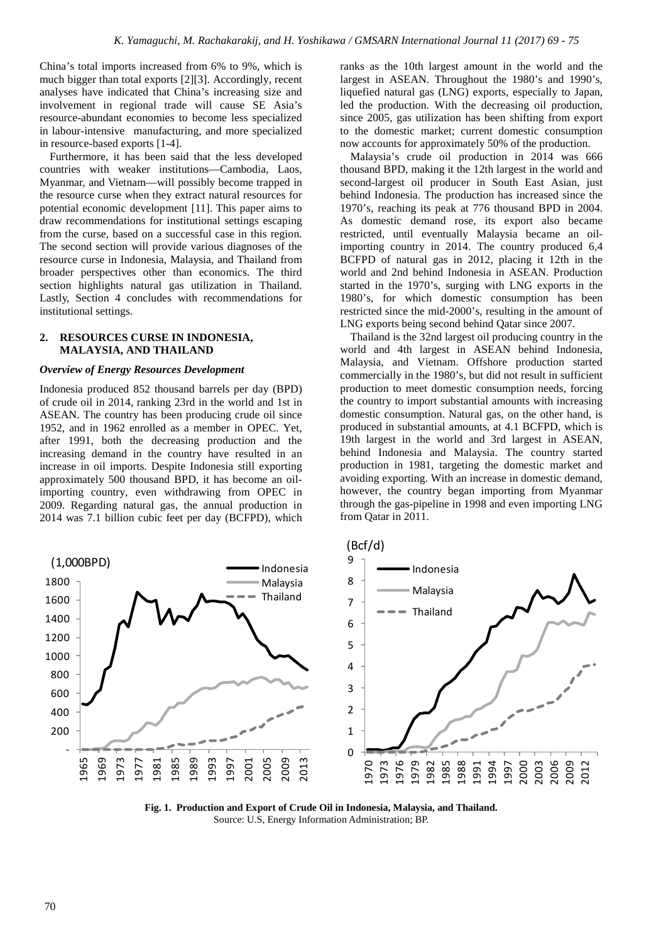China's total imports increased from 6% to 9%, which is much bigger than total exports [2][3]. Accordingly, recent analyses have indicated that China's increasing size and involvement in regional trade will cause SE Asia's resource-abundant economies to become less specialized in labour-intensive manufacturing, and more specialized in resource-based exports [1-4].

Furthermore, it has been said that the less developed countries with weaker institutions—Cambodia, Laos, Myanmar, and Vietnam—will possibly become trapped in the resource curse when they extract natural resources for potential economic development [11]. This paper aims to draw recommendations for institutional settings escaping from the curse, based on a successful case in this region. The second section will provide various diagnoses of the resource curse in Indonesia, Malaysia, and Thailand from broader perspectives other than economics. The third section highlights natural gas utilization in Thailand. Lastly, Section 4 concludes with recommendations for institutional settings.

# **2. RESOURCES CURSE IN INDONESIA, MALAYSIA, AND THAILAND**

#### *Overview of Energy Resources Development*

Indonesia produced 852 thousand barrels per day (BPD) of crude oil in 2014, ranking 23rd in the world and 1st in ASEAN. The country has been producing crude oil since 1952, and in 1962 enrolled as a member in OPEC. Yet, after 1991, both the decreasing production and the increasing demand in the country have resulted in an increase in oil imports. Despite Indonesia still exporting approximately 500 thousand BPD, it has become an oilimporting country, even withdrawing from OPEC in 2009. Regarding natural gas, the annual production in 2014 was 7.1 billion cubic feet per day (BCFPD), which ranks as the 10th largest amount in the world and the largest in ASEAN. Throughout the 1980's and 1990's, liquefied natural gas (LNG) exports, especially to Japan, led the production. With the decreasing oil production, since 2005, gas utilization has been shifting from export to the domestic market; current domestic consumption now accounts for approximately 50% of the production.

Malaysia's crude oil production in 2014 was 666 thousand BPD, making it the 12th largest in the world and second-largest oil producer in South East Asian, just behind Indonesia. The production has increased since the 1970's, reaching its peak at 776 thousand BPD in 2004. As domestic demand rose, its export also became restricted, until eventually Malaysia became an oilimporting country in 2014. The country produced 6,4 BCFPD of natural gas in 2012, placing it 12th in the world and 2nd behind Indonesia in ASEAN. Production started in the 1970's, surging with LNG exports in the 1980's, for which domestic consumption has been restricted since the mid-2000's, resulting in the amount of LNG exports being second behind Qatar since 2007.

Thailand is the 32nd largest oil producing country in the world and 4th largest in ASEAN behind Indonesia, Malaysia, and Vietnam. Offshore production started commercially in the 1980's, but did not result in sufficient production to meet domestic consumption needs, forcing the country to import substantial amounts with increasing domestic consumption. Natural gas, on the other hand, is produced in substantial amounts, at 4.1 BCFPD, which is 19th largest in the world and 3rd largest in ASEAN, behind Indonesia and Malaysia. The country started production in 1981, targeting the domestic market and avoiding exporting. With an increase in domestic demand, however, the country began importing from Myanmar through the gas-pipeline in 1998 and even importing LNG from Qatar in 2011.



**Fig. 1. Production and Export of Crude Oil in Indonesia, Malaysia, and Thailand.**  Source: U.S, Energy Information Administration; BP.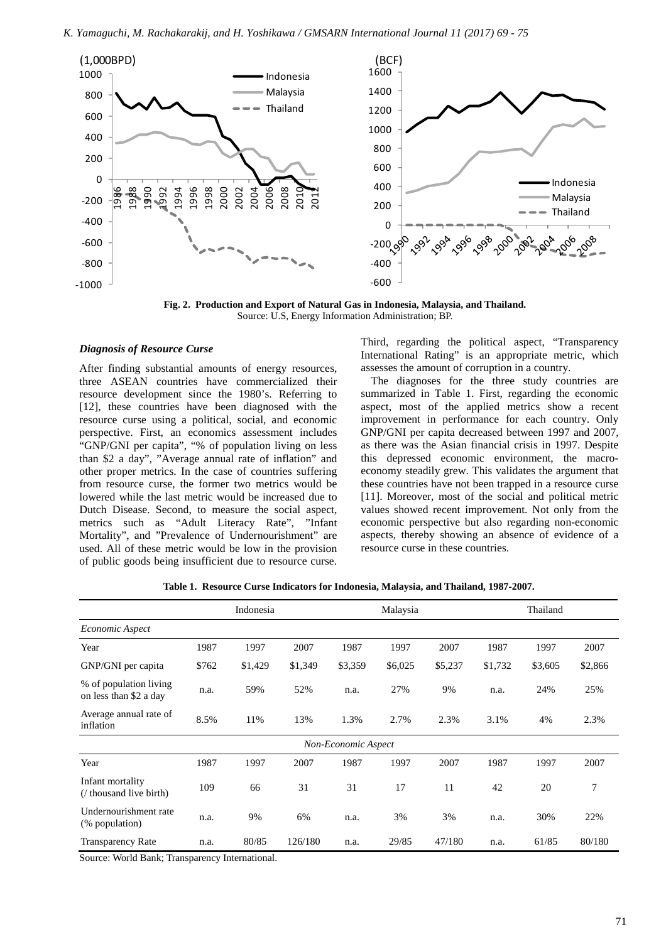

**Fig. 2. Production and Export of Natural Gas in Indonesia, Malaysia, and Thailand.**  Source: U.S, Energy Information Administration; BP.

### *Diagnosis of Resource Curse*

After finding substantial amounts of energy resources, three ASEAN countries have commercialized their resource development since the 1980's. Referring to [12], these countries have been diagnosed with the resource curse using a political, social, and economic perspective. First, an economics assessment includes "GNP/GNI per capita", "% of population living on less than \$2 a day", "Average annual rate of inflation" and other proper metrics. In the case of countries suffering from resource curse, the former two metrics would be lowered while the last metric would be increased due to Dutch Disease. Second, to measure the social aspect, metrics such as "Adult Literacy Rate", "Infant Mortality", and "Prevalence of Undernourishment" are used. All of these metric would be low in the provision of public goods being insufficient due to resource curse.

Third, regarding the political aspect, "Transparency International Rating" is an appropriate metric, which assesses the amount of corruption in a country.

The diagnoses for the three study countries are summarized in Table 1. First, regarding the economic aspect, most of the applied metrics show a recent improvement in performance for each country. Only GNP/GNI per capita decreased between 1997 and 2007, as there was the Asian financial crisis in 1997. Despite this depressed economic environment, the macroeconomy steadily grew. This validates the argument that these countries have not been trapped in a resource curse [11]. Moreover, most of the social and political metric values showed recent improvement. Not only from the economic perspective but also regarding non-economic aspects, thereby showing an absence of evidence of a resource curse in these countries.

|  |  |  | Table 1. Resource Curse Indicators for Indonesia, Malaysia, and Thailand, 1987-2007. |  |  |  |  |  |  |  |  |
|--|--|--|--------------------------------------------------------------------------------------|--|--|--|--|--|--|--|--|
|--|--|--|--------------------------------------------------------------------------------------|--|--|--|--|--|--|--|--|

|                                                  |       | Indonesia |         | Malaysia            |         |         | Thailand |         |         |
|--------------------------------------------------|-------|-----------|---------|---------------------|---------|---------|----------|---------|---------|
| Economic Aspect                                  |       |           |         |                     |         |         |          |         |         |
| Year                                             | 1987  | 1997      | 2007    | 1987                | 1997    | 2007    | 1987     | 1997    | 2007    |
| GNP/GNI per capita                               | \$762 | \$1,429   | \$1,349 | \$3,359             | \$6,025 | \$5,237 | \$1,732  | \$3,605 | \$2,866 |
| % of population living<br>on less than \$2 a day | n.a.  | 59%       | 52%     | n.a.                | 27%     | 9%      | n.a.     | 24%     | 25%     |
| Average annual rate of<br>inflation              | 8.5%  | 11%       | 13%     | 1.3%                | 2.7%    | 2.3%    | 3.1%     | 4%      | 2.3%    |
|                                                  |       |           |         | Non-Economic Aspect |         |         |          |         |         |
| Year                                             | 1987  | 1997      | 2007    | 1987                | 1997    | 2007    | 1987     | 1997    | 2007    |
| Infant mortality<br>(/ thousand live birth)      | 109   | 66        | 31      | 31                  | 17      | 11      | 42       | 20      | 7       |
| Undernourishment rate<br>(% population)          | n.a.  | 9%        | 6%      | n.a.                | 3%      | 3%      | n.a.     | 30%     | 22%     |
| <b>Transparency Rate</b>                         | n.a.  | 80/85     | 126/180 | n.a.                | 29/85   | 47/180  | n.a.     | 61/85   | 80/180  |

Source: World Bank; Transparency International.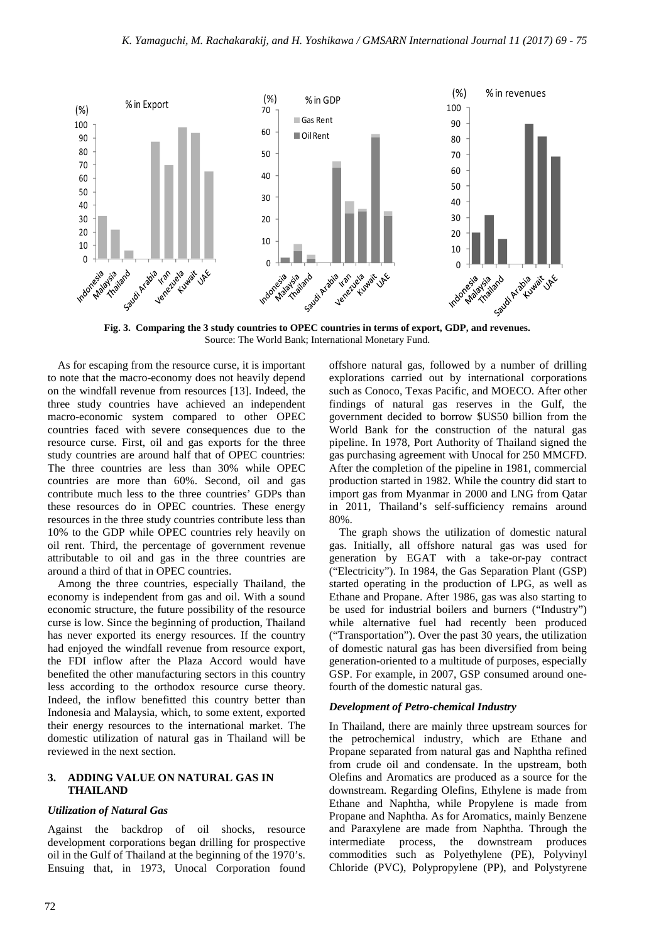

**Fig. 3. Comparing the 3 study countries to OPEC countries in terms of export, GDP, and revenues.**  Source: The World Bank; International Monetary Fund.

As for escaping from the resource curse, it is important to note that the macro-economy does not heavily depend on the windfall revenue from resources [13]. Indeed, the three study countries have achieved an independent macro-economic system compared to other OPEC countries faced with severe consequences due to the resource curse. First, oil and gas exports for the three study countries are around half that of OPEC countries: The three countries are less than 30% while OPEC countries are more than 60%. Second, oil and gas contribute much less to the three countries' GDPs than these resources do in OPEC countries. These energy resources in the three study countries contribute less than 10% to the GDP while OPEC countries rely heavily on oil rent. Third, the percentage of government revenue attributable to oil and gas in the three countries are around a third of that in OPEC countries.

Among the three countries, especially Thailand, the economy is independent from gas and oil. With a sound economic structure, the future possibility of the resource curse is low. Since the beginning of production, Thailand has never exported its energy resources. If the country had enjoyed the windfall revenue from resource export, the FDI inflow after the Plaza Accord would have benefited the other manufacturing sectors in this country less according to the orthodox resource curse theory. Indeed, the inflow benefitted this country better than Indonesia and Malaysia, which, to some extent, exported their energy resources to the international market. The domestic utilization of natural gas in Thailand will be reviewed in the next section.

## **3. ADDING VALUE ON NATURAL GAS IN THAILAND**

#### *Utilization of Natural Gas*

Against the backdrop of oil shocks, resource development corporations began drilling for prospective oil in the Gulf of Thailand at the beginning of the 1970's. Ensuing that, in 1973, Unocal Corporation found offshore natural gas, followed by a number of drilling explorations carried out by international corporations such as Conoco, Texas Pacific, and MOECO. After other findings of natural gas reserves in the Gulf, the government decided to borrow \$US50 billion from the World Bank for the construction of the natural gas pipeline. In 1978, Port Authority of Thailand signed the gas purchasing agreement with Unocal for 250 MMCFD. After the completion of the pipeline in 1981, commercial production started in 1982. While the country did start to import gas from Myanmar in 2000 and LNG from Qatar in 2011, Thailand's self-sufficiency remains around 80%.

The graph shows the utilization of domestic natural gas. Initially, all offshore natural gas was used for generation by EGAT with a take-or-pay contract ("Electricity"). In 1984, the Gas Separation Plant (GSP) started operating in the production of LPG, as well as Ethane and Propane. After 1986, gas was also starting to be used for industrial boilers and burners ("Industry") while alternative fuel had recently been produced ("Transportation"). Over the past 30 years, the utilization of domestic natural gas has been diversified from being generation-oriented to a multitude of purposes, especially GSP. For example, in 2007, GSP consumed around onefourth of the domestic natural gas.

#### *Development of Petro-chemical Industry*

In Thailand, there are mainly three upstream sources for the petrochemical industry, which are Ethane and Propane separated from natural gas and Naphtha refined from crude oil and condensate. In the upstream, both Olefins and Aromatics are produced as a source for the downstream. Regarding Olefins, Ethylene is made from Ethane and Naphtha, while Propylene is made from Propane and Naphtha. As for Aromatics, mainly Benzene and Paraxylene are made from Naphtha. Through the intermediate process, the downstream produces commodities such as Polyethylene (PE), Polyvinyl Chloride (PVC), Polypropylene (PP), and Polystyrene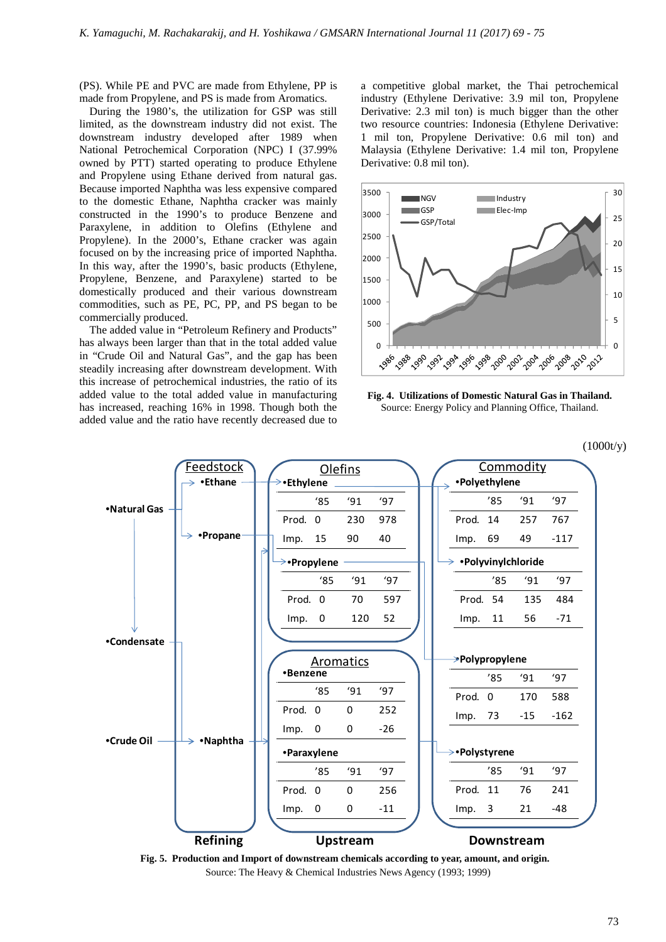(PS). While PE and PVC are made from Ethylene, PP is made from Propylene, and PS is made from Aromatics.

During the 1980's, the utilization for GSP was still limited, as the downstream industry did not exist. The downstream industry developed after 1989 when National Petrochemical Corporation (NPC) I (37.99% owned by PTT) started operating to produce Ethylene and Propylene using Ethane derived from natural gas. Because imported Naphtha was less expensive compared to the domestic Ethane, Naphtha cracker was mainly constructed in the 1990's to produce Benzene and Paraxylene, in addition to Olefins (Ethylene and Propylene). In the 2000's, Ethane cracker was again focused on by the increasing price of imported Naphtha. In this way, after the 1990's, basic products (Ethylene, Propylene, Benzene, and Paraxylene) started to be domestically produced and their various downstream commodities, such as PE, PC, PP, and PS began to be commercially produced.

The added value in "Petroleum Refinery and Products" has always been larger than that in the total added value in "Crude Oil and Natural Gas", and the gap has been steadily increasing after downstream development. With this increase of petrochemical industries, the ratio of its added value to the total added value in manufacturing has increased, reaching 16% in 1998. Though both the added value and the ratio have recently decreased due to

a competitive global market, the Thai petrochemical industry (Ethylene Derivative: 3.9 mil ton, Propylene Derivative: 2.3 mil ton) is much bigger than the other two resource countries: Indonesia (Ethylene Derivative: 1 mil ton, Propylene Derivative: 0.6 mil ton) and Malaysia (Ethylene Derivative: 1.4 mil ton, Propylene Derivative: 0.8 mil ton).



**Fig. 4. Utilizations of Domestic Natural Gas in Thailand.**  Source: Energy Policy and Planning Office, Thailand.

(1000t/y)



**Fig. 5. Production and Import of downstream chemicals according to year, amount, and origin.**  Source: The Heavy & Chemical Industries News Agency (1993; 1999)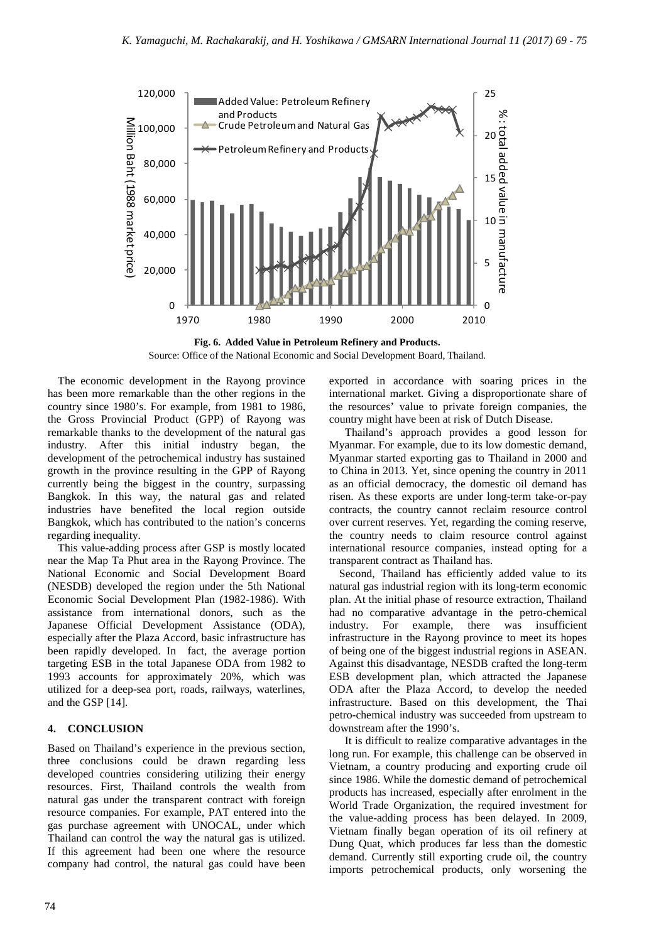



The economic development in the Rayong province has been more remarkable than the other regions in the country since 1980's. For example, from 1981 to 1986, the Gross Provincial Product (GPP) of Rayong was remarkable thanks to the development of the natural gas industry. After this initial industry began, the development of the petrochemical industry has sustained growth in the province resulting in the GPP of Rayong currently being the biggest in the country, surpassing Bangkok. In this way, the natural gas and related industries have benefited the local region outside Bangkok, which has contributed to the nation's concerns regarding inequality.

This value-adding process after GSP is mostly located near the Map Ta Phut area in the Rayong Province. The National Economic and Social Development Board (NESDB) developed the region under the 5th National Economic Social Development Plan (1982-1986). With assistance from international donors, such as the Japanese Official Development Assistance (ODA), especially after the Plaza Accord, basic infrastructure has been rapidly developed. In fact, the average portion targeting ESB in the total Japanese ODA from 1982 to 1993 accounts for approximately 20%, which was utilized for a deep-sea port, roads, railways, waterlines, and the GSP [14].

# **4. CONCLUSION**

Based on Thailand's experience in the previous section, three conclusions could be drawn regarding less developed countries considering utilizing their energy resources. First, Thailand controls the wealth from natural gas under the transparent contract with foreign resource companies. For example, PAT entered into the gas purchase agreement with UNOCAL, under which Thailand can control the way the natural gas is utilized. If this agreement had been one where the resource company had control, the natural gas could have been exported in accordance with soaring prices in the international market. Giving a disproportionate share of the resources' value to private foreign companies, the country might have been at risk of Dutch Disease.

 Thailand's approach provides a good lesson for Myanmar. For example, due to its low domestic demand, Myanmar started exporting gas to Thailand in 2000 and to China in 2013. Yet, since opening the country in 2011 as an official democracy, the domestic oil demand has risen. As these exports are under long-term take-or-pay contracts, the country cannot reclaim resource control over current reserves. Yet, regarding the coming reserve, the country needs to claim resource control against international resource companies, instead opting for a transparent contract as Thailand has.

Second, Thailand has efficiently added value to its natural gas industrial region with its long-term economic plan. At the initial phase of resource extraction, Thailand had no comparative advantage in the petro-chemical industry. For example, there was insufficient infrastructure in the Rayong province to meet its hopes of being one of the biggest industrial regions in ASEAN. Against this disadvantage, NESDB crafted the long-term ESB development plan, which attracted the Japanese ODA after the Plaza Accord, to develop the needed infrastructure. Based on this development, the Thai petro-chemical industry was succeeded from upstream to downstream after the 1990's.

 It is difficult to realize comparative advantages in the long run. For example, this challenge can be observed in Vietnam, a country producing and exporting crude oil since 1986. While the domestic demand of petrochemical products has increased, especially after enrolment in the World Trade Organization, the required investment for the value-adding process has been delayed. In 2009, Vietnam finally began operation of its oil refinery at Dung Quat, which produces far less than the domestic demand. Currently still exporting crude oil, the country imports petrochemical products, only worsening the